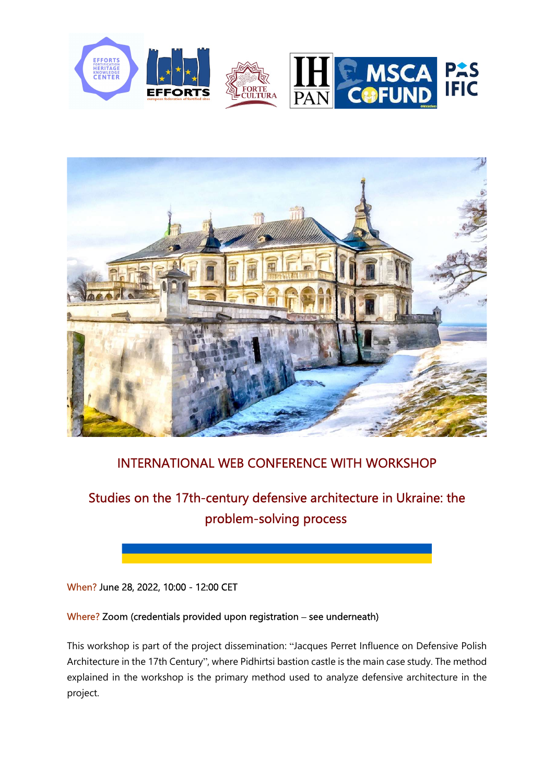



## INTERNATIONAL WEB CONFERENCE WITH WORKSHOP

# Studies on the 17th-century defensive architecture in Ukraine: the problem-solving process

#### When? June 28, 2022, 10:00 - 12:00 CET

#### Where? Zoom (credentials provided upon registration – see underneath)

This workshop is part of the project dissemination: "Jacques Perret Influence on Defensive Polish Architecture in the 17th Century", where Pidhirtsi bastion castle is the main case study. The method explained in the workshop is the primary method used to analyze defensive architecture in the project.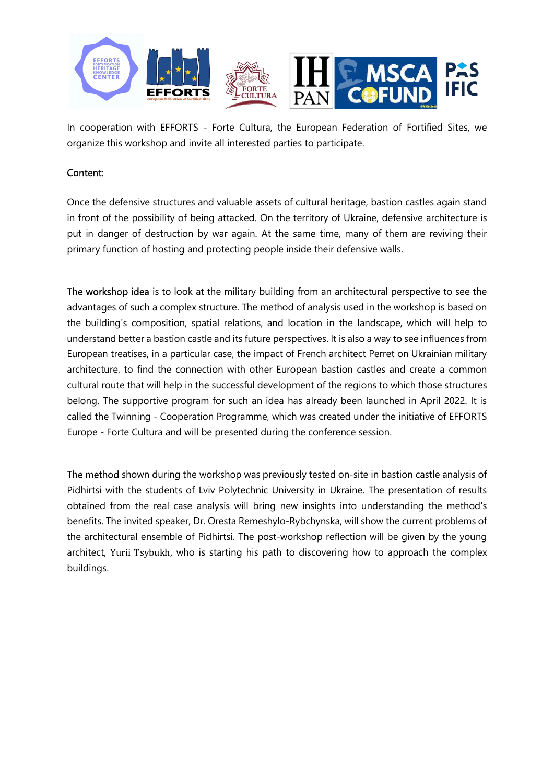

In cooperation with EFFORTS - Forte Cultura, the European Federation of Fortified Sites, we organize this workshop and invite all interested parties to participate.

#### Content:

Once the defensive structures and valuable assets of cultural heritage, bastion castles again stand in front of the possibility of being attacked. On the territory of Ukraine, defensive architecture is put in danger of destruction by war again. At the same time, many of them are reviving their primary function of hosting and protecting people inside their defensive walls.

The workshop idea is to look at the military building from an architectural perspective to see the advantages of such a complex structure. The method of analysis used in the workshop is based on the building's composition, spatial relations, and location in the landscape, which will help to understand better a bastion castle and its future perspectives. It is also a way to see influences from European treatises, in a particular case, the impact of French architect Perret on Ukrainian military architecture, to find the connection with other European bastion castles and create a common cultural route that will help in the successful development of the regions to which those structures belong. The supportive program for such an idea has already been launched in April 2022. It is called the Twinning - Cooperation Programme, which was created under the initiative of EFFORTS Europe - Forte Cultura and will be presented during the conference session.

The method shown during the workshop was previously tested on-site in bastion castle analysis of Pidhirtsi with the students of Lviv Polytechnic University in Ukraine. The presentation of results obtained from the real case analysis will bring new insights into understanding the method's benefits. The invited speaker, Dr. Oresta Remeshylo-Rybchynska, will show the current problems of the architectural ensemble of Pidhirtsi. The post-workshop reflection will be given by the young architect, Yurii Tsybukh, who is starting his path to discovering how to approach the complex buildings.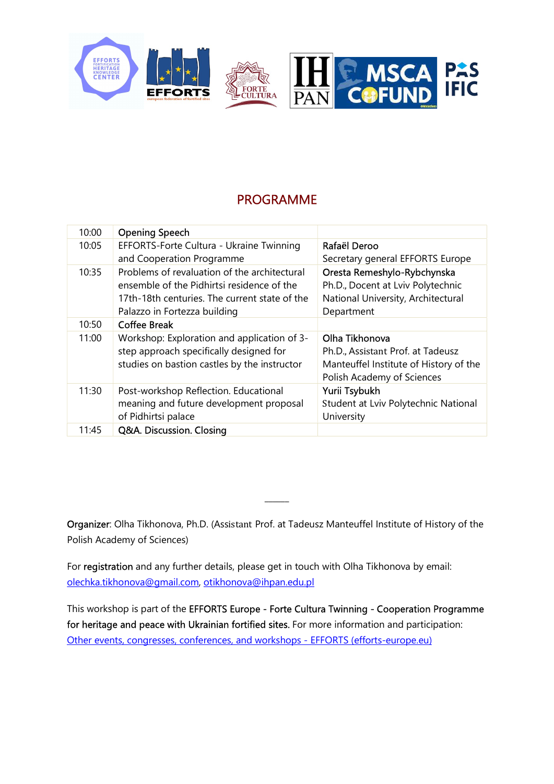

### PROGRAMME

| 10:00 | <b>Opening Speech</b>                         |                                        |
|-------|-----------------------------------------------|----------------------------------------|
| 10:05 | EFFORTS-Forte Cultura - Ukraine Twinning      | Rafaël Deroo                           |
|       | and Cooperation Programme                     | Secretary general EFFORTS Europe       |
| 10:35 | Problems of revaluation of the architectural  | Oresta Remeshylo-Rybchynska            |
|       | ensemble of the Pidhirtsi residence of the    | Ph.D., Docent at Lviv Polytechnic      |
|       | 17th-18th centuries. The current state of the | National University, Architectural     |
|       | Palazzo in Fortezza building                  | Department                             |
| 10:50 | <b>Coffee Break</b>                           |                                        |
|       |                                               |                                        |
| 11:00 | Workshop: Exploration and application of 3-   | Olha Tikhonova                         |
|       | step approach specifically designed for       | Ph.D., Assistant Prof. at Tadeusz      |
|       | studies on bastion castles by the instructor  | Manteuffel Institute of History of the |
|       |                                               | Polish Academy of Sciences             |
| 11:30 | Post-workshop Reflection. Educational         | Yurii Tsybukh                          |
|       | meaning and future development proposal       | Student at Lviv Polytechnic National   |
|       | of Pidhirtsi palace                           | University                             |

Organizer: Olha Tikhonova, Ph.D. (Assistant Prof. at Tadeusz Manteuffel Institute of History of the Polish Academy of Sciences)

\_\_\_\_\_\_

For registration and any further details, please get in touch with Olha Tikhonova by email: olechka.tikhonova@gmail.com, otikhonova@ihpan.edu.pl

This workshop is part of the EFFORTS Europe - Forte Cultura Twinning - Cooperation Programme for heritage and peace with Ukrainian fortified sites. For more information and participation: Other events, congresses, conferences, and workshops - EFFORTS (efforts-europe.eu)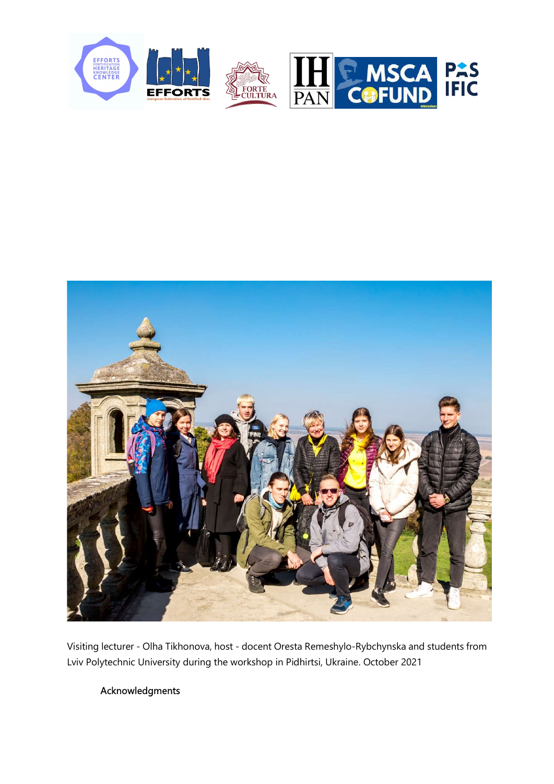



Visiting lecturer - Olha Tikhonova, host - docent Oresta Remeshylo-Rybchynska and students from Lviv Polytechnic University during the workshop in Pidhirtsi, Ukraine. October 2021

### Acknowledgments